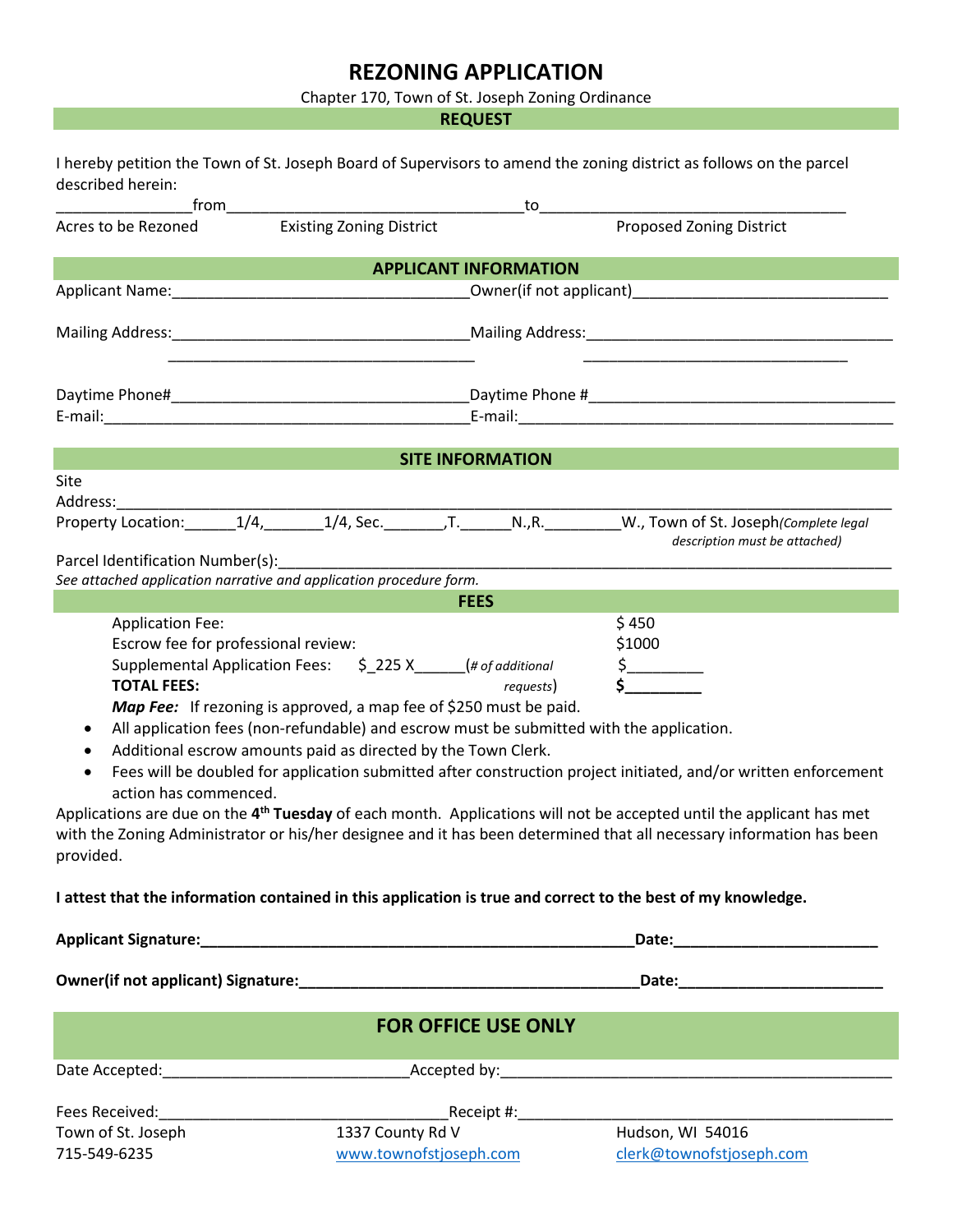## **REZONING APPLICATION**

Chapter 170, Town of St. Joseph Zoning Ordinance

**REQUEST**

| described herein:                                                                                                                            |                                                                                                                                                                                                                                                                                                       |                                                                                                                | I hereby petition the Town of St. Joseph Board of Supervisors to amend the zoning district as follows on the parcel                                                                                                                                                                                                                                                                                             |
|----------------------------------------------------------------------------------------------------------------------------------------------|-------------------------------------------------------------------------------------------------------------------------------------------------------------------------------------------------------------------------------------------------------------------------------------------------------|----------------------------------------------------------------------------------------------------------------|-----------------------------------------------------------------------------------------------------------------------------------------------------------------------------------------------------------------------------------------------------------------------------------------------------------------------------------------------------------------------------------------------------------------|
|                                                                                                                                              |                                                                                                                                                                                                                                                                                                       | to to the second service of the series of the series of the series of the series of the series of the series o |                                                                                                                                                                                                                                                                                                                                                                                                                 |
| Acres to be Rezoned                                                                                                                          | <b>Existing Zoning District</b>                                                                                                                                                                                                                                                                       |                                                                                                                | Proposed Zoning District                                                                                                                                                                                                                                                                                                                                                                                        |
|                                                                                                                                              |                                                                                                                                                                                                                                                                                                       | <b>APPLICANT INFORMATION</b>                                                                                   |                                                                                                                                                                                                                                                                                                                                                                                                                 |
|                                                                                                                                              |                                                                                                                                                                                                                                                                                                       |                                                                                                                |                                                                                                                                                                                                                                                                                                                                                                                                                 |
|                                                                                                                                              |                                                                                                                                                                                                                                                                                                       |                                                                                                                |                                                                                                                                                                                                                                                                                                                                                                                                                 |
|                                                                                                                                              |                                                                                                                                                                                                                                                                                                       |                                                                                                                |                                                                                                                                                                                                                                                                                                                                                                                                                 |
|                                                                                                                                              |                                                                                                                                                                                                                                                                                                       |                                                                                                                |                                                                                                                                                                                                                                                                                                                                                                                                                 |
|                                                                                                                                              |                                                                                                                                                                                                                                                                                                       | <b>SITE INFORMATION</b>                                                                                        |                                                                                                                                                                                                                                                                                                                                                                                                                 |
| Site<br>Address:                                                                                                                             |                                                                                                                                                                                                                                                                                                       |                                                                                                                |                                                                                                                                                                                                                                                                                                                                                                                                                 |
|                                                                                                                                              |                                                                                                                                                                                                                                                                                                       |                                                                                                                | Property Location: 1/4, 1/4, Sec. F. N., R. W., Town of St. Joseph (Complete legal<br>description must be attached)                                                                                                                                                                                                                                                                                             |
| Parcel Identification Number(s):                                                                                                             |                                                                                                                                                                                                                                                                                                       |                                                                                                                |                                                                                                                                                                                                                                                                                                                                                                                                                 |
|                                                                                                                                              | See attached application narrative and application procedure form.                                                                                                                                                                                                                                    | <b>FEES</b>                                                                                                    |                                                                                                                                                                                                                                                                                                                                                                                                                 |
| <b>Application Fee:</b><br>Escrow fee for professional review:<br><b>TOTAL FEES:</b><br>٠<br>$\bullet$<br>action has commenced.<br>provided. | Supplemental Application Fees: \$225 X_____(# of additional<br><b>Map Fee:</b> If rezoning is approved, a map fee of \$250 must be paid.<br>All application fees (non-refundable) and escrow must be submitted with the application.<br>Additional escrow amounts paid as directed by the Town Clerk. | requests)                                                                                                      | \$450<br>\$1000<br>$\frac{1}{2}$<br>Fees will be doubled for application submitted after construction project initiated, and/or written enforcement<br>Applications are due on the 4 <sup>th</sup> Tuesday of each month. Applications will not be accepted until the applicant has met<br>with the Zoning Administrator or his/her designee and it has been determined that all necessary information has been |
|                                                                                                                                              |                                                                                                                                                                                                                                                                                                       |                                                                                                                | I attest that the information contained in this application is true and correct to the best of my knowledge.                                                                                                                                                                                                                                                                                                    |
|                                                                                                                                              |                                                                                                                                                                                                                                                                                                       |                                                                                                                |                                                                                                                                                                                                                                                                                                                                                                                                                 |
|                                                                                                                                              |                                                                                                                                                                                                                                                                                                       |                                                                                                                |                                                                                                                                                                                                                                                                                                                                                                                                                 |
|                                                                                                                                              |                                                                                                                                                                                                                                                                                                       |                                                                                                                |                                                                                                                                                                                                                                                                                                                                                                                                                 |
|                                                                                                                                              |                                                                                                                                                                                                                                                                                                       | <b>FOR OFFICE USE ONLY</b>                                                                                     |                                                                                                                                                                                                                                                                                                                                                                                                                 |
|                                                                                                                                              |                                                                                                                                                                                                                                                                                                       |                                                                                                                |                                                                                                                                                                                                                                                                                                                                                                                                                 |
| Fees Received:                                                                                                                               |                                                                                                                                                                                                                                                                                                       |                                                                                                                |                                                                                                                                                                                                                                                                                                                                                                                                                 |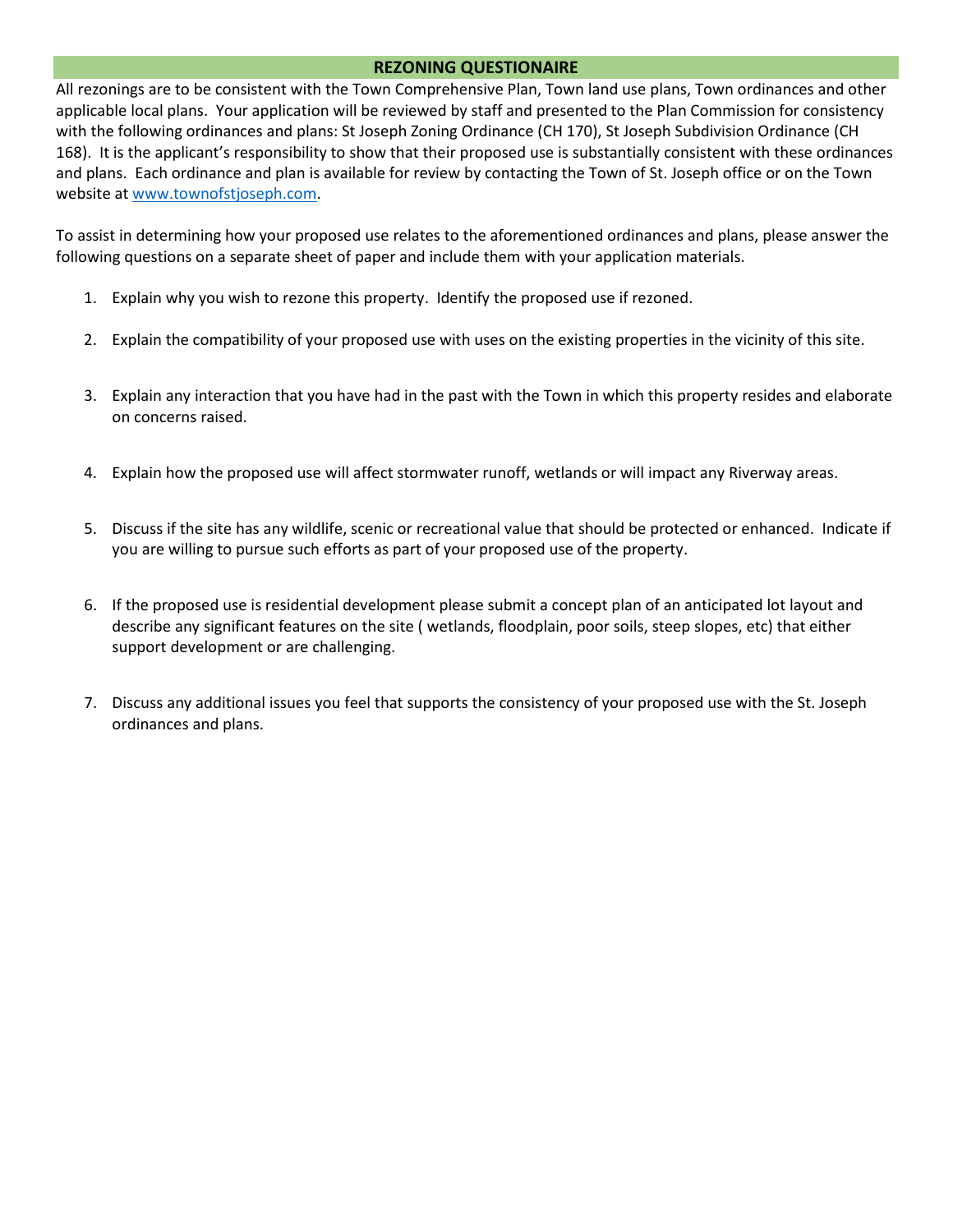## **REZONING QUESTIONAIRE**

All rezonings are to be consistent with the Town Comprehensive Plan, Town land use plans, Town ordinances and other applicable local plans. Your application will be reviewed by staff and presented to the Plan Commission for consistency with the following ordinances and plans: St Joseph Zoning Ordinance (CH 170), St Joseph Subdivision Ordinance (CH 168). It is the applicant's responsibility to show that their proposed use is substantially consistent with these ordinances and plans. Each ordinance and plan is available for review by contacting the Town of St. Joseph office or on the Town website at [www.townofstjoseph.com.](http://www.townofstjoseph.com/)

To assist in determining how your proposed use relates to the aforementioned ordinances and plans, please answer the following questions on a separate sheet of paper and include them with your application materials.

- 1. Explain why you wish to rezone this property. Identify the proposed use if rezoned.
- 2. Explain the compatibility of your proposed use with uses on the existing properties in the vicinity of this site.
- 3. Explain any interaction that you have had in the past with the Town in which this property resides and elaborate on concerns raised.
- 4. Explain how the proposed use will affect stormwater runoff, wetlands or will impact any Riverway areas.
- 5. Discuss if the site has any wildlife, scenic or recreational value that should be protected or enhanced. Indicate if you are willing to pursue such efforts as part of your proposed use of the property.
- 6. If the proposed use is residential development please submit a concept plan of an anticipated lot layout and describe any significant features on the site ( wetlands, floodplain, poor soils, steep slopes, etc) that either support development or are challenging.
- 7. Discuss any additional issues you feel that supports the consistency of your proposed use with the St. Joseph ordinances and plans.